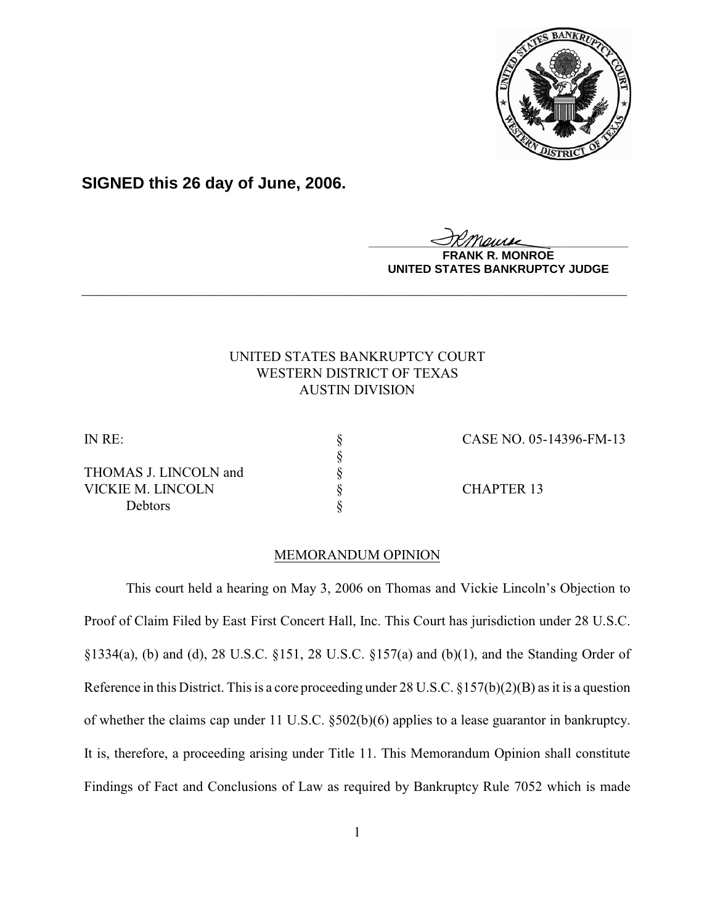

**SIGNED this 26 day of June, 2006.**

<u>IKThemse</u>

**MONROE UNITED STATES BANKRUPTCY JUDGE**

# UNITED STATES BANKRUPTCY COURT WESTERN DISTRICT OF TEXAS AUSTIN DIVISION

**\_\_\_\_\_\_\_\_\_\_\_\_\_\_\_\_\_\_\_\_\_\_\_\_\_\_\_\_\_\_\_\_\_\_\_\_\_\_\_\_\_\_\_\_\_\_\_\_\_\_\_\_\_\_\_\_\_\_\_\_**

THOMAS J. LINCOLN and VICKIE M. LINCOLN § CHAPTER 13 Debtors

IN RE: § CASE NO. 05-14396-FM-13

## MEMORANDUM OPINION

§<br>§<br>§<br>§

This court held a hearing on May 3, 2006 on Thomas and Vickie Lincoln's Objection to Proof of Claim Filed by East First Concert Hall, Inc. This Court has jurisdiction under 28 U.S.C. §1334(a), (b) and (d), 28 U.S.C. §151, 28 U.S.C. §157(a) and (b)(1), and the Standing Order of Reference in this District. This is a core proceeding under 28 U.S.C. §157(b)(2)(B) as it is a question of whether the claims cap under 11 U.S.C. §502(b)(6) applies to a lease guarantor in bankruptcy. It is, therefore, a proceeding arising under Title 11. This Memorandum Opinion shall constitute Findings of Fact and Conclusions of Law as required by Bankruptcy Rule 7052 which is made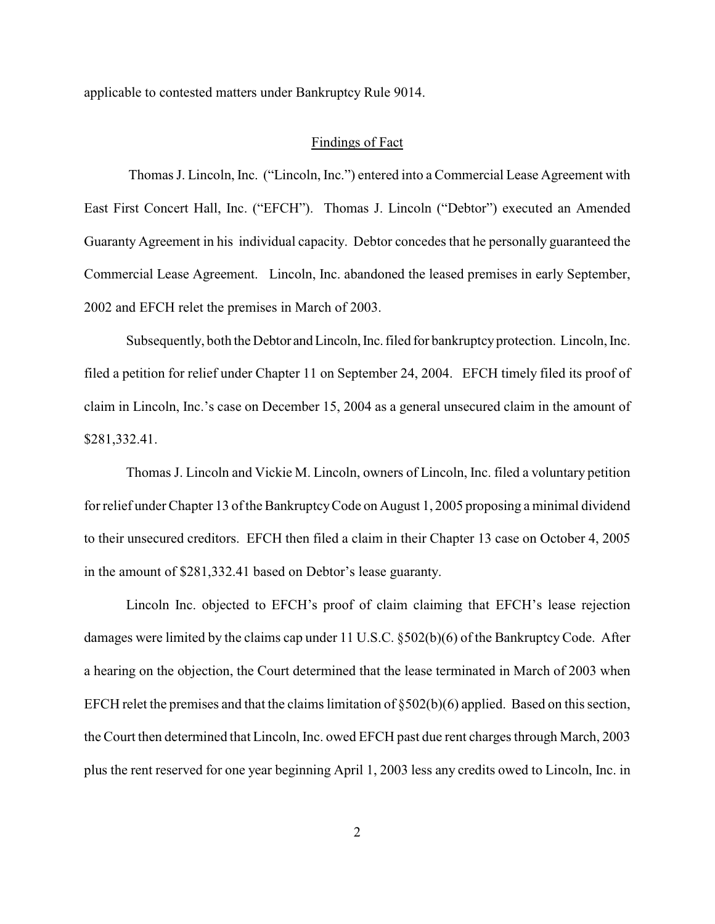applicable to contested matters under Bankruptcy Rule 9014.

#### Findings of Fact

 Thomas J. Lincoln, Inc. ("Lincoln, Inc.") entered into a Commercial Lease Agreement with East First Concert Hall, Inc. ("EFCH"). Thomas J. Lincoln ("Debtor") executed an Amended Guaranty Agreement in his individual capacity. Debtor concedes that he personally guaranteed the Commercial Lease Agreement. Lincoln, Inc. abandoned the leased premises in early September, 2002 and EFCH relet the premises in March of 2003.

Subsequently, both the Debtor and Lincoln, Inc. filed for bankruptcy protection. Lincoln, Inc. filed a petition for relief under Chapter 11 on September 24, 2004. EFCH timely filed its proof of claim in Lincoln, Inc.'s case on December 15, 2004 as a general unsecured claim in the amount of \$281,332.41.

Thomas J. Lincoln and Vickie M. Lincoln, owners of Lincoln, Inc. filed a voluntary petition for relief under Chapter 13 of the BankruptcyCode on August 1, 2005 proposing a minimal dividend to their unsecured creditors. EFCH then filed a claim in their Chapter 13 case on October 4, 2005 in the amount of \$281,332.41 based on Debtor's lease guaranty.

Lincoln Inc. objected to EFCH's proof of claim claiming that EFCH's lease rejection damages were limited by the claims cap under 11 U.S.C. §502(b)(6) of the Bankruptcy Code. After a hearing on the objection, the Court determined that the lease terminated in March of 2003 when EFCH relet the premises and that the claims limitation of  $\S502(b)(6)$  applied. Based on this section, the Court then determined that Lincoln, Inc. owed EFCH past due rent charges through March, 2003 plus the rent reserved for one year beginning April 1, 2003 less any credits owed to Lincoln, Inc. in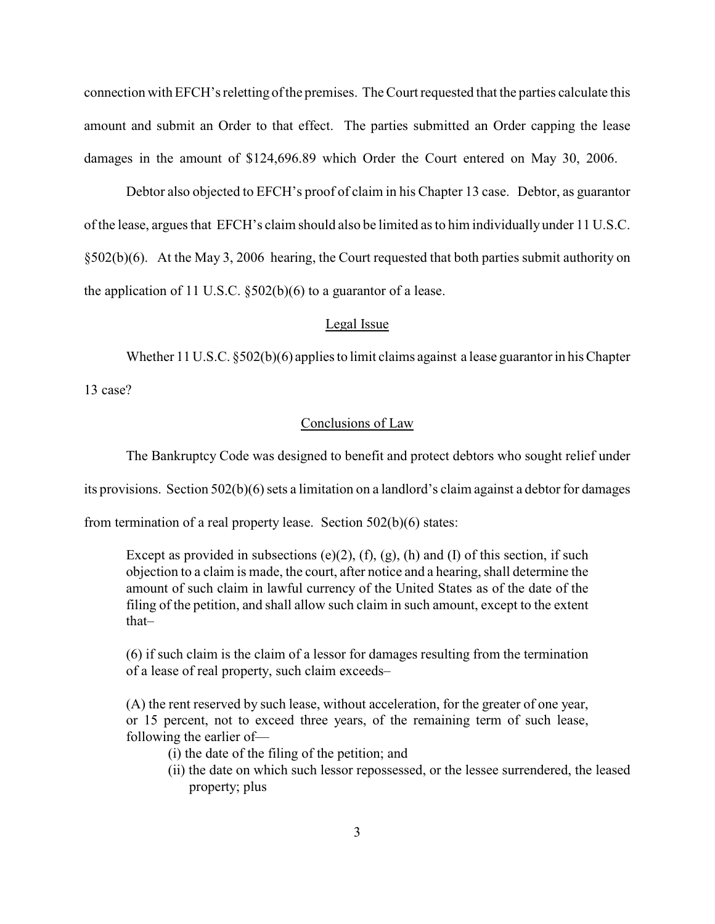connection with EFCH's reletting ofthe premises. The Court requested that the parties calculate this amount and submit an Order to that effect. The parties submitted an Order capping the lease damages in the amount of \$124,696.89 which Order the Court entered on May 30, 2006.

Debtor also objected to EFCH's proof of claim in his Chapter 13 case. Debtor, as guarantor of the lease, argues that EFCH's claim should also be limited as to him individually under 11 U.S.C. §502(b)(6). At the May 3, 2006 hearing, the Court requested that both parties submit authority on the application of 11 U.S.C.  $\S502(b)(6)$  to a guarantor of a lease.

### Legal Issue

Whether 11 U.S.C. §502(b)(6) applies to limit claims against a lease guarantor in his Chapter

13 case?

## Conclusions of Law

The Bankruptcy Code was designed to benefit and protect debtors who sought relief under

its provisions. Section 502(b)(6) sets a limitation on a landlord's claim against a debtor for damages

from termination of a real property lease. Section 502(b)(6) states:

Except as provided in subsections  $(e)(2)$ ,  $(f)$ ,  $(g)$ ,  $(h)$  and  $(I)$  of this section, if such objection to a claim is made, the court, after notice and a hearing, shall determine the amount of such claim in lawful currency of the United States as of the date of the filing of the petition, and shall allow such claim in such amount, except to the extent that–

(6) if such claim is the claim of a lessor for damages resulting from the termination of a lease of real property, such claim exceeds–

(A) the rent reserved by such lease, without acceleration, for the greater of one year, or 15 percent, not to exceed three years, of the remaining term of such lease, following the earlier of—

(i) the date of the filing of the petition; and

(ii) the date on which such lessor repossessed, or the lessee surrendered, the leased property; plus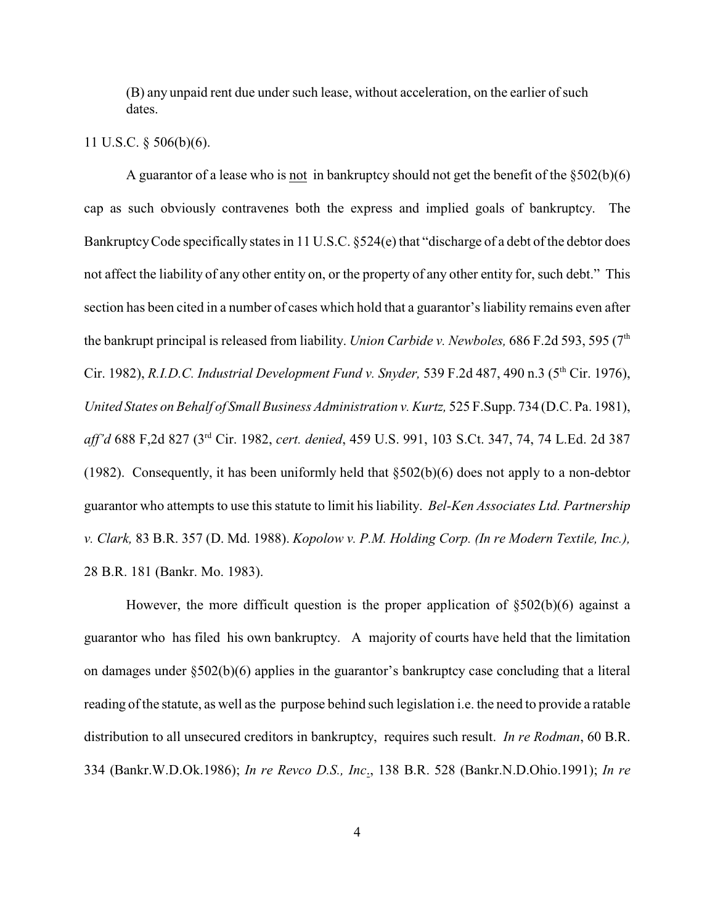(B) any unpaid rent due under such lease, without acceleration, on the earlier of such dates.

### 11 U.S.C. § 506(b)(6).

A guarantor of a lease who is not in bankruptcy should not get the benefit of the §502(b)(6) cap as such obviously contravenes both the express and implied goals of bankruptcy. The Bankruptcy Code specifically states in 11 U.S.C. §524(e) that "discharge of a debt of the debtor does not affect the liability of any other entity on, or the property of any other entity for, such debt." This section has been cited in a number of cases which hold that a guarantor's liability remains even after the bankrupt principal is released from liability. *Union Carbide v. Newboles,* 686 F.2d 593, 595 (7 th Cir. 1982), *R.I.D.C. Industrial Development Fund v. Snyder,* 539 F.2d 487, 490 n.3 (5<sup>th</sup> Cir. 1976), *United States on Behalf of Small Business Administration v. Kurtz,* 525 F.Supp. 734 (D.C. Pa. 1981), aff'd 688 F,2d 827 (3<sup>rd</sup> Cir. 1982, *cert. denied*, 459 U.S. 991, 103 S.Ct. 347, 74, 74 L.Ed. 2d 387 (1982). Consequently, it has been uniformly held that §502(b)(6) does not apply to a non-debtor guarantor who attempts to use this statute to limit his liability. *Bel-Ken Associates Ltd. Partnership v. Clark,* 83 B.R. 357 (D. Md. 1988). *Kopolow v. P.M. Holding Corp. (In re Modern Textile, Inc.),* 28 B.R. 181 (Bankr. Mo. 1983).

However, the more difficult question is the proper application of §502(b)(6) against a guarantor who has filed his own bankruptcy. A majority of courts have held that the limitation on damages under §502(b)(6) applies in the guarantor's bankruptcy case concluding that a literal reading ofthe statute, as well as the purpose behind such legislation i.e. the need to provide a ratable distribution to all unsecured creditors in bankruptcy, requires such result. *In re Rodman*, 60 B.R. 334 (Bankr.W.D.Ok.1986); *In re Revco D.S., Inc*., 138 B.R. 528 (Bankr.N.D.Ohio.1991); *In re*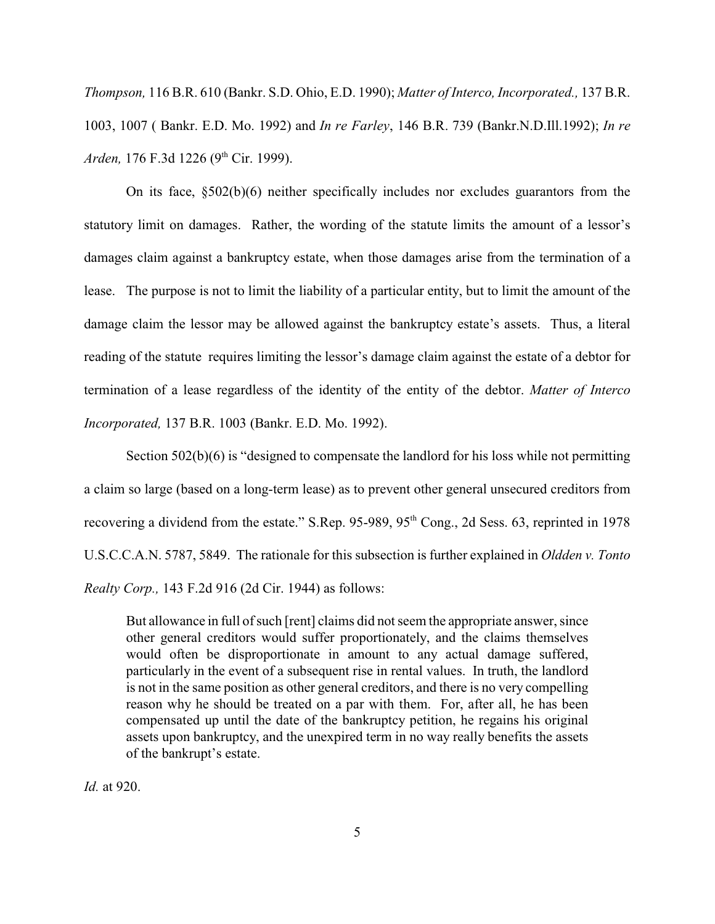*Thompson,* 116 B.R. 610 (Bankr. S.D. Ohio, E.D. 1990); *Matter of Interco, Incorporated.,* 137 B.R. 1003, 1007 ( Bankr. E.D. Mo. 1992) and *In re Farley*, 146 B.R. 739 (Bankr.N.D.Ill.1992); *In re Arden,* 176 F.3d 1226 (9<sup>th</sup> Cir. 1999).

On its face, §502(b)(6) neither specifically includes nor excludes guarantors from the statutory limit on damages. Rather, the wording of the statute limits the amount of a lessor's damages claim against a bankruptcy estate, when those damages arise from the termination of a lease. The purpose is not to limit the liability of a particular entity, but to limit the amount of the damage claim the lessor may be allowed against the bankruptcy estate's assets. Thus, a literal reading of the statute requires limiting the lessor's damage claim against the estate of a debtor for termination of a lease regardless of the identity of the entity of the debtor. *Matter of Interco Incorporated,* 137 B.R. 1003 (Bankr. E.D. Mo. 1992).

Section 502(b)(6) is "designed to compensate the landlord for his loss while not permitting a claim so large (based on a long-term lease) as to prevent other general unsecured creditors from recovering a dividend from the estate." S.Rep. 95-989,  $95<sup>th</sup> Cong., 2d Sess. 63$ , reprinted in 1978 U.S.C.C.A.N. 5787, 5849. The rationale for this subsection is further explained in *Oldden v. Tonto Realty Corp.,* 143 F.2d 916 (2d Cir. 1944) as follows:

But allowance in full of such [rent] claims did not seem the appropriate answer, since other general creditors would suffer proportionately, and the claims themselves would often be disproportionate in amount to any actual damage suffered, particularly in the event of a subsequent rise in rental values. In truth, the landlord is not in the same position as other general creditors, and there is no very compelling reason why he should be treated on a par with them. For, after all, he has been compensated up until the date of the bankruptcy petition, he regains his original assets upon bankruptcy, and the unexpired term in no way really benefits the assets of the bankrupt's estate.

*Id.* at 920.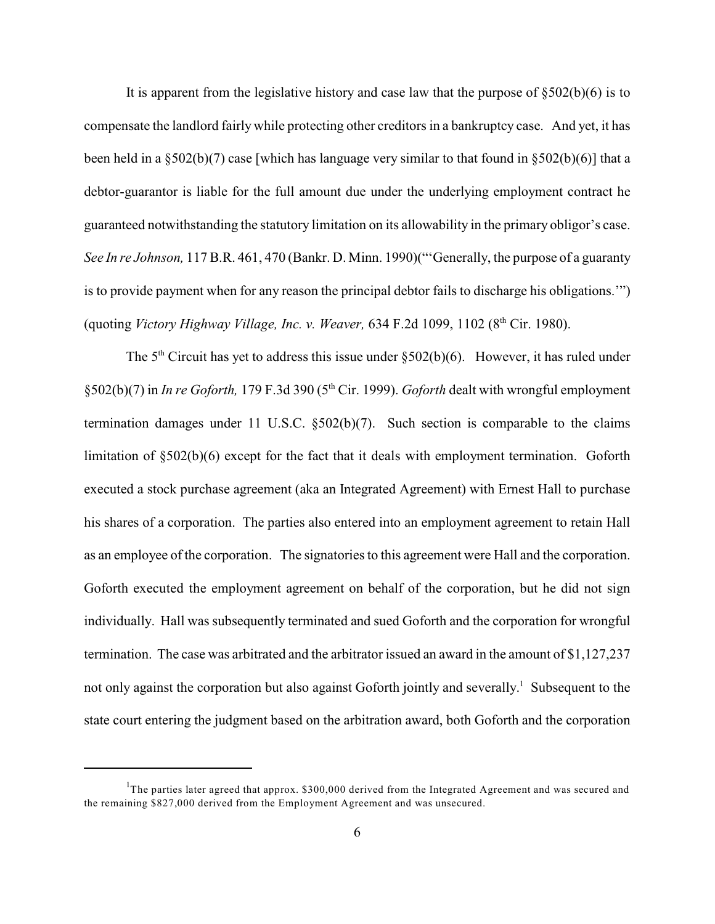It is apparent from the legislative history and case law that the purpose of  $\S502(b)(6)$  is to compensate the landlord fairlywhile protecting other creditors in a bankruptcy case. And yet, it has been held in a §502(b)(7) case [which has language very similar to that found in §502(b)(6)] that a debtor-guarantor is liable for the full amount due under the underlying employment contract he guaranteed notwithstanding the statutory limitation on its allowability in the primary obligor's case. *See In re Johnson,* 117 B.R. 461, 470 (Bankr. D. Minn. 1990)("'Generally, the purpose of a guaranty is to provide payment when for any reason the principal debtor fails to discharge his obligations.'") (quoting *Victory Highway Village, Inc. v. Weaver*, 634 F.2d 1099, 1102 (8<sup>th</sup> Cir. 1980).

The  $5<sup>th</sup>$  Circuit has yet to address this issue under  $\S 502(b)(6)$ . However, it has ruled under §502(b)(7) in *In re Goforth*, 179 F.3d 390 (5<sup>th</sup> Cir. 1999). *Goforth* dealt with wrongful employment termination damages under 11 U.S.C.  $\S502(b)(7)$ . Such section is comparable to the claims limitation of §502(b)(6) except for the fact that it deals with employment termination. Goforth executed a stock purchase agreement (aka an Integrated Agreement) with Ernest Hall to purchase his shares of a corporation. The parties also entered into an employment agreement to retain Hall as an employee of the corporation. The signatories to this agreement were Hall and the corporation. Goforth executed the employment agreement on behalf of the corporation, but he did not sign individually. Hall was subsequently terminated and sued Goforth and the corporation for wrongful termination. The case was arbitrated and the arbitrator issued an award in the amount of \$1,127,237 not only against the corporation but also against Goforth jointly and severally.<sup>1</sup> Subsequent to the state court entering the judgment based on the arbitration award, both Goforth and the corporation

<sup>&</sup>lt;sup>1</sup>The parties later agreed that approx.  $$300,000$  derived from the Integrated Agreement and was secured and the remaining \$827,000 derived from the Employment Agreement and was unsecured.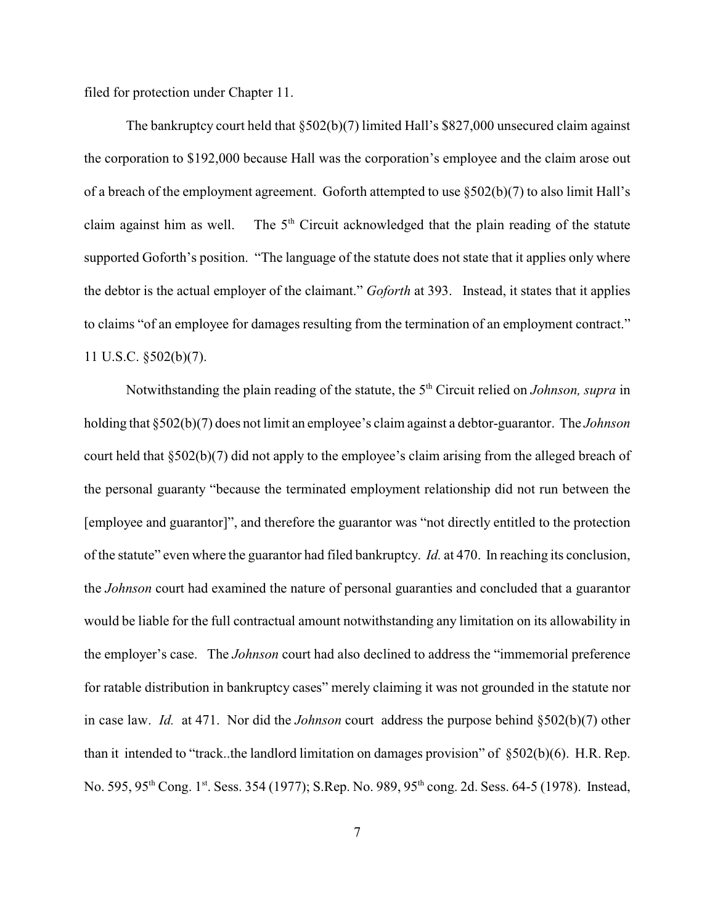filed for protection under Chapter 11.

The bankruptcy court held that §502(b)(7) limited Hall's \$827,000 unsecured claim against the corporation to \$192,000 because Hall was the corporation's employee and the claim arose out of a breach of the employment agreement. Goforth attempted to use §502(b)(7) to also limit Hall's claim against him as well. The  $5<sup>th</sup>$  Circuit acknowledged that the plain reading of the statute supported Goforth's position. "The language of the statute does not state that it applies only where the debtor is the actual employer of the claimant." *Goforth* at 393. Instead, it states that it applies to claims "of an employee for damages resulting from the termination of an employment contract." 11 U.S.C. §502(b)(7).

Notwithstanding the plain reading of the statute, the 5<sup>th</sup> Circuit relied on *Johnson, supra* in holding that §502(b)(7) does not limit an employee's claim against a debtor-guarantor. The *Johnson* court held that §502(b)(7) did not apply to the employee's claim arising from the alleged breach of the personal guaranty "because the terminated employment relationship did not run between the [employee and guarantor]", and therefore the guarantor was "not directly entitled to the protection of the statute" even where the guarantor had filed bankruptcy. *Id.* at 470. In reaching its conclusion, the *Johnson* court had examined the nature of personal guaranties and concluded that a guarantor would be liable for the full contractual amount notwithstanding any limitation on its allowability in the employer's case. The *Johnson* court had also declined to address the "immemorial preference for ratable distribution in bankruptcy cases" merely claiming it was not grounded in the statute nor in case law. *Id.* at 471. Nor did the *Johnson* court address the purpose behind §502(b)(7) other than it intended to "track..the landlord limitation on damages provision" of §502(b)(6). H.R. Rep. No. 595, 95<sup>th</sup> Cong. 1<sup>st</sup>. Sess. 354 (1977); S.Rep. No. 989, 95<sup>th</sup> cong. 2d. Sess. 64-5 (1978). Instead,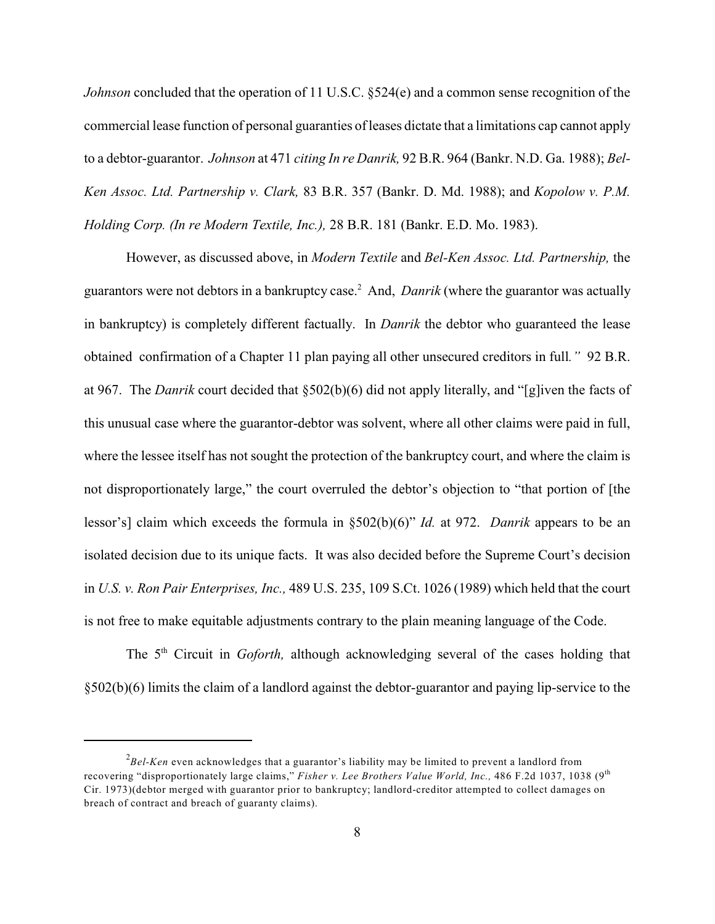*Johnson* concluded that the operation of 11 U.S.C. §524(e) and a common sense recognition of the commercial lease function of personal guaranties ofleases dictate that a limitations cap cannot apply to a debtor-guarantor. *Johnson* at 471 *citing In re Danrik,* 92 B.R. 964 (Bankr. N.D. Ga. 1988); *Bel-Ken Assoc. Ltd. Partnership v. Clark,* 83 B.R. 357 (Bankr. D. Md. 1988); and *Kopolow v. P.M. Holding Corp. (In re Modern Textile, Inc.),* 28 B.R. 181 (Bankr. E.D. Mo. 1983).

However, as discussed above, in *Modern Textile* and *Bel-Ken Assoc. Ltd. Partnership,* the guarantors were not debtors in a bankruptcy case.<sup>2</sup> And, *Danrik* (where the guarantor was actually in bankruptcy) is completely different factually. In *Danrik* the debtor who guaranteed the lease obtained confirmation of a Chapter 11 plan paying all other unsecured creditors in full*."* 92 B.R. at 967. The *Danrik* court decided that §502(b)(6) did not apply literally, and "[g]iven the facts of this unusual case where the guarantor-debtor was solvent, where all other claims were paid in full, where the lessee itself has not sought the protection of the bankruptcy court, and where the claim is not disproportionately large," the court overruled the debtor's objection to "that portion of [the lessor's] claim which exceeds the formula in §502(b)(6)" *Id.* at 972. *Danrik* appears to be an isolated decision due to its unique facts. It was also decided before the Supreme Court's decision in *U.S. v. Ron Pair Enterprises, Inc.,* 489 U.S. 235, 109 S.Ct. 1026 (1989) which held that the court is not free to make equitable adjustments contrary to the plain meaning language of the Code.

The 5<sup>th</sup> Circuit in Goforth, although acknowledging several of the cases holding that §502(b)(6) limits the claim of a landlord against the debtor-guarantor and paying lip-service to the

<sup>&</sup>lt;sup>2</sup>Bel-Ken even acknowledges that a guarantor's liability may be limited to prevent a landlord from recovering "disproportionately large claims," *Fisher v. Lee Brothers Value World, Inc.*, 486 F.2d 1037, 1038 (9<sup>th</sup> Cir. 1973)(debtor merged with guarantor prior to bankruptcy; landlord-creditor attempted to collect damages on breach of contract and breach of guaranty claims).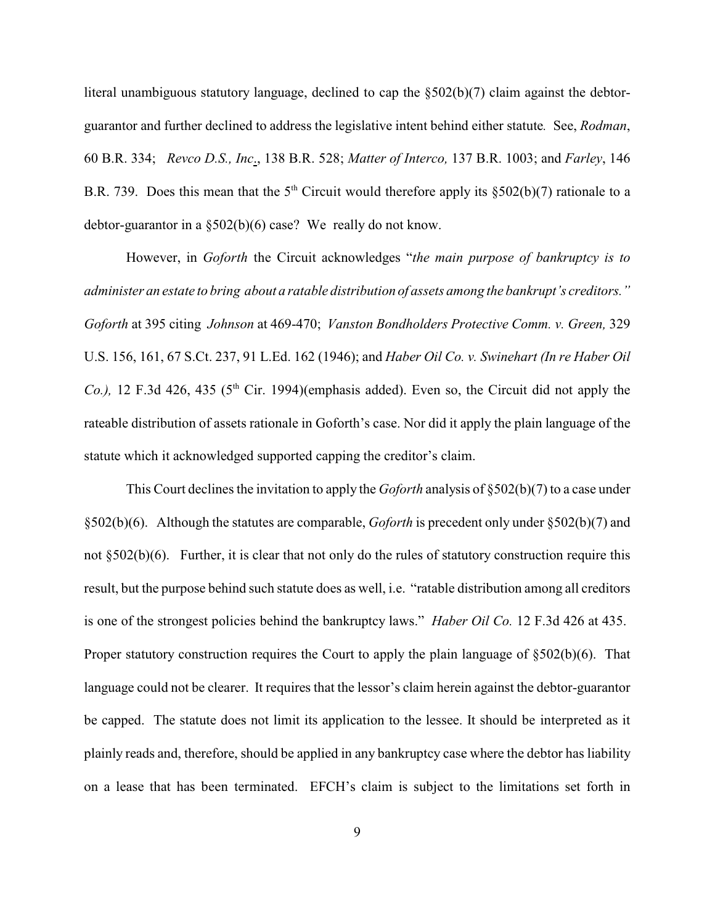literal unambiguous statutory language, declined to cap the §502(b)(7) claim against the debtorguarantor and further declined to address the legislative intent behind either statute*.* See, *Rodman*, 60 B.R. 334; *Revco D.S., Inc*., 138 B.R. 528; *Matter of Interco,* 137 B.R. 1003; and *Farley*, 146 B.R. 739. Does this mean that the  $5<sup>th</sup>$  Circuit would therefore apply its §502(b)(7) rationale to a debtor-guarantor in a §502(b)(6) case? We really do not know.

However, in *Goforth* the Circuit acknowledges "*the main purpose of bankruptcy is to administer an estate to bring about a ratable distribution of assets among the bankrupt's creditors." Goforth* at 395 citing *Johnson* at 469-470; *Vanston Bondholders Protective Comm. v. Green,* 329 U.S. 156, 161, 67 S.Ct. 237, 91 L.Ed. 162 (1946); and *Haber Oil Co. v. Swinehart (In re Haber Oil Co.)*, 12 F.3d 426, 435 ( $5<sup>th</sup>$  Cir. 1994)(emphasis added). Even so, the Circuit did not apply the rateable distribution of assets rationale in Goforth's case. Nor did it apply the plain language of the statute which it acknowledged supported capping the creditor's claim.

This Court declines the invitation to apply the *Goforth* analysis of §502(b)(7) to a case under §502(b)(6). Although the statutes are comparable, *Goforth* is precedent only under §502(b)(7) and not §502(b)(6). Further, it is clear that not only do the rules of statutory construction require this result, but the purpose behind such statute does as well, i.e. "ratable distribution among all creditors is one of the strongest policies behind the bankruptcy laws." *Haber Oil Co.* 12 F.3d 426 at 435. Proper statutory construction requires the Court to apply the plain language of §502(b)(6). That language could not be clearer. It requires that the lessor's claim herein against the debtor-guarantor be capped. The statute does not limit its application to the lessee. It should be interpreted as it plainly reads and, therefore, should be applied in any bankruptcy case where the debtor has liability on a lease that has been terminated. EFCH's claim is subject to the limitations set forth in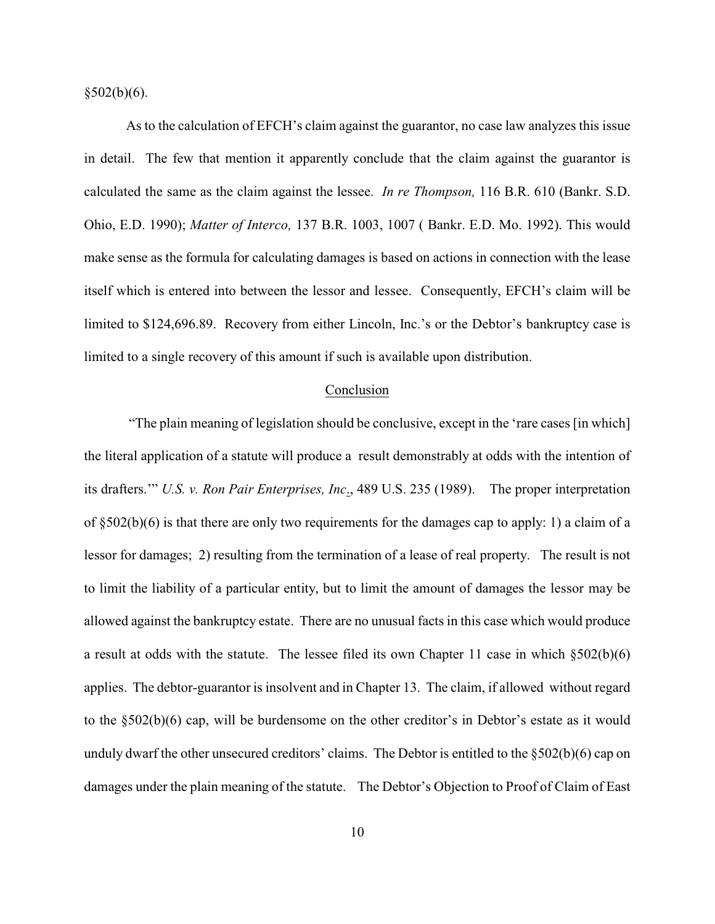$§502(b)(6).$ 

As to the calculation of EFCH's claim against the guarantor, no case law analyzes this issue in detail. The few that mention it apparently conclude that the claim against the guarantor is calculated the same as the claim against the lessee. *In re Thompson,* 116 B.R. 610 (Bankr. S.D. Ohio, E.D. 1990); *Matter of Interco,* 137 B.R. 1003, 1007 ( Bankr. E.D. Mo. 1992). This would make sense as the formula for calculating damages is based on actions in connection with the lease itself which is entered into between the lessor and lessee. Consequently, EFCH's claim will be limited to \$124,696.89. Recovery from either Lincoln, Inc.'s or the Debtor's bankruptcy case is limited to a single recovery of this amount if such is available upon distribution.

#### Conclusion

 "The plain meaning of legislation should be conclusive, except in the 'rare cases [in which] the literal application of a statute will produce a result demonstrably at odds with the intention of its drafters.'" *U.S. v. Ron Pair Enterprises, Inc*., 489 U.S. 235 (1989). The proper interpretation of §502(b)(6) is that there are only two requirements for the damages cap to apply: 1) a claim of a lessor for damages; 2) resulting from the termination of a lease of real property. The result is not to limit the liability of a particular entity, but to limit the amount of damages the lessor may be allowed against the bankruptcy estate. There are no unusual facts in this case which would produce a result at odds with the statute. The lessee filed its own Chapter 11 case in which §502(b)(6) applies. The debtor-guarantor is insolvent and in Chapter 13. The claim, if allowed without regard to the §502(b)(6) cap, will be burdensome on the other creditor's in Debtor's estate as it would unduly dwarf the other unsecured creditors' claims. The Debtor is entitled to the §502(b)(6) cap on damages under the plain meaning of the statute. The Debtor's Objection to Proof of Claim of East